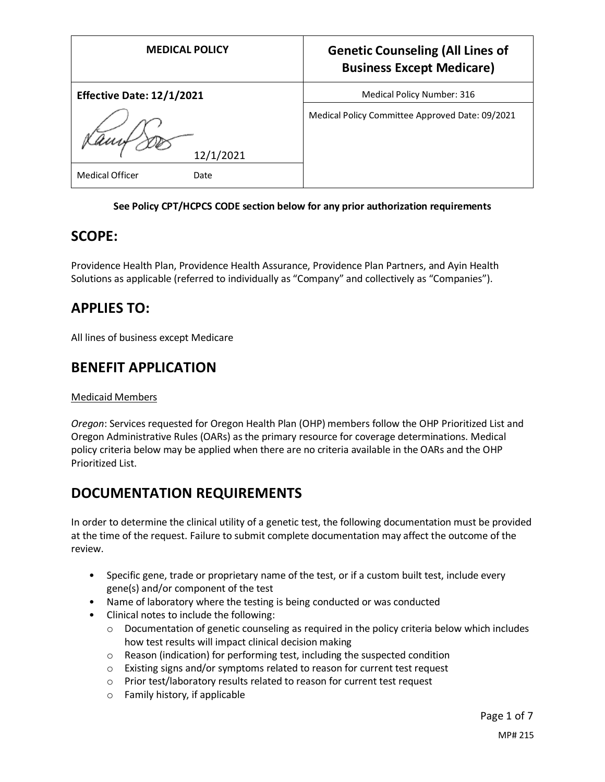| <b>MEDICAL POLICY</b>                       | <b>Genetic Counseling (All Lines of</b><br><b>Business Except Medicare)</b> |
|---------------------------------------------|-----------------------------------------------------------------------------|
| Effective Date: 12/1/2021                   | Medical Policy Number: 316                                                  |
| 12/1/2021<br><b>Medical Officer</b><br>Date | Medical Policy Committee Approved Date: 09/2021                             |

#### **See Policy CPT/HCPCS CODE section below for any prior authorization requirements**

### **SCOPE:**

Providence Health Plan, Providence Health Assurance, Providence Plan Partners, and Ayin Health Solutions as applicable (referred to individually as "Company" and collectively as "Companies").

## **APPLIES TO:**

All lines of business except Medicare

### **BENEFIT APPLICATION**

#### Medicaid Members

*Oregon*: Services requested for Oregon Health Plan (OHP) members follow the OHP Prioritized List and Oregon Administrative Rules (OARs) as the primary resource for coverage determinations. Medical policy criteria below may be applied when there are no criteria available in the OARs and the OHP Prioritized List.

## **DOCUMENTATION REQUIREMENTS**

In order to determine the clinical utility of a genetic test, the following documentation must be provided at the time of the request. Failure to submit complete documentation may affect the outcome of the review.

- Specific gene, trade or proprietary name of the test, or if a custom built test, include every gene(s) and/or component of the test
- Name of laboratory where the testing is being conducted or was conducted
- Clinical notes to include the following:
	- $\circ$  Documentation of genetic counseling as required in the policy criteria below which includes how test results will impact clinical decision making
	- o Reason (indication) for performing test, including the suspected condition
	- o Existing signs and/or symptoms related to reason for current test request
	- o Prior test/laboratory results related to reason for current test request
	- o Family history, if applicable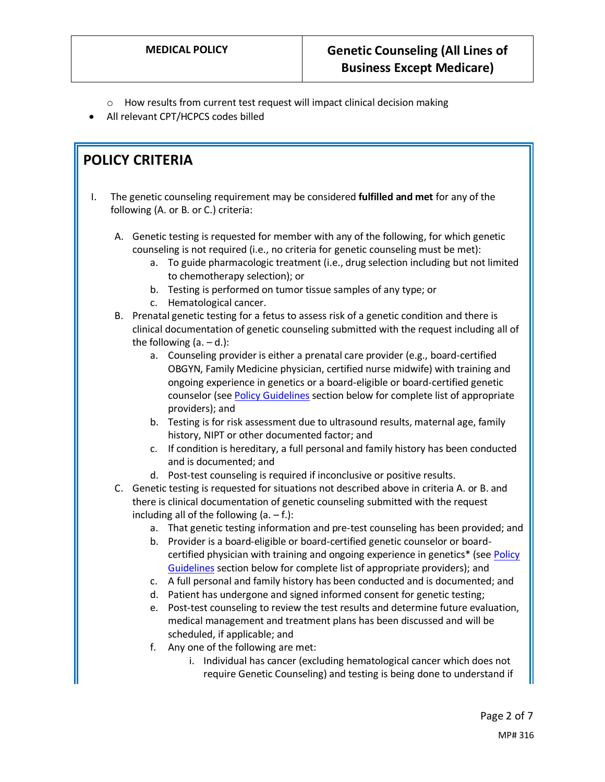- o How results from current test request will impact clinical decision making
- All relevant CPT/HCPCS codes billed

### **POLICY CRITERIA**

- I. The genetic counseling requirement may be considered **fulfilled and met** for any of the following (A. or B. or C.) criteria:
	- A. Genetic testing is requested for member with any of the following, for which genetic counseling is not required (i.e., no criteria for genetic counseling must be met):
		- a. To guide pharmacologic treatment (i.e., drug selection including but not limited to chemotherapy selection); or
		- b. Testing is performed on tumor tissue samples of any type; or
		- c. Hematological cancer.
	- B. Prenatal genetic testing for a fetus to assess risk of a genetic condition and there is clinical documentation of genetic counseling submitted with the request including all of the following  $(a. - d.):$ 
		- a. Counseling provider is either a prenatal care provider (e.g., board-certified OBGYN, Family Medicine physician, certified nurse midwife) with training and ongoing experience in genetics or a board-eligible or board-certified genetic counselor (see [Policy Guidelines](#page-2-0) section below for complete list of appropriate providers); and
		- b. Testing is for risk assessment due to ultrasound results, maternal age, family history, NIPT or other documented factor; and
		- c. If condition is hereditary, a full personal and family history has been conducted and is documented; and
		- d. Post-test counseling is required if inconclusive or positive results.
	- C. Genetic testing is requested for situations not described above in criteria A. or B. and there is clinical documentation of genetic counseling submitted with the request including all of the following  $(a. - f.)$ :
		- a. That genetic testing information and pre-test counseling has been provided; and
		- b. Provider is a board-eligible or board-certified genetic counselor or boardcertified physician with training and ongoing experience in genetics\* (se[e Policy](#page-2-0)  [Guidelines](#page-2-0) section below for complete list of appropriate providers); and
		- c. A full personal and family history has been conducted and is documented; and
		- d. Patient has undergone and signed informed consent for genetic testing;
		- e. Post-test counseling to review the test results and determine future evaluation, medical management and treatment plans has been discussed and will be scheduled, if applicable; and
		- f. Any one of the following are met:
			- i. Individual has cancer (excluding hematological cancer which does not require Genetic Counseling) and testing is being done to understand if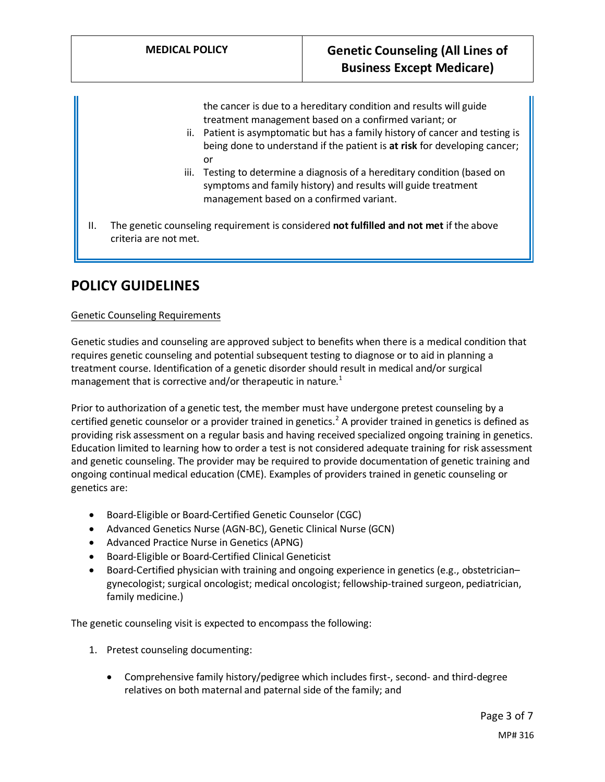the cancer is due to a hereditary condition and results will guide treatment management based on a confirmed variant; or

- ii. Patient is asymptomatic but has a family history of cancer and testing is being done to understand if the patient is **at risk** for developing cancer; or
- iii. Testing to determine a diagnosis of a hereditary condition (based on symptoms and family history) and results will guide treatment management based on a confirmed variant.
- II. The genetic counseling requirement is considered **not fulfilled and not met** if the above criteria are not met.

## **POLICY GUIDELINES**

#### <span id="page-2-0"></span>Genetic Counseling Requirements

Genetic studies and counseling are approved subject to benefits when there is a medical condition that requires genetic counseling and potential subsequent testing to diagnose or to aid in planning a treatment course. Identification of a genetic disorder should result in medical and/or surgical management that is corrective and/or therapeutic in nature. $1$ 

Prior to authorization of a genetic test, the member must have undergone pretest counseling by a certified genetic counselor or a provider trained in genetics.<sup>2</sup> A provider trained in genetics is defined as providing risk assessment on a regular basis and having received specialized ongoing training in genetics. Education limited to learning how to order a test is not considered adequate training for risk assessment and genetic counseling. The provider may be required to provide documentation of genetic training and ongoing continual medical education (CME). Examples of providers trained in genetic counseling or genetics are:

- Board-Eligible or Board-Certified Genetic Counselor (CGC)
- Advanced Genetics Nurse (AGN-BC), Genetic Clinical Nurse (GCN)
- Advanced Practice Nurse in Genetics (APNG)
- Board-Eligible or Board-Certified Clinical Geneticist
- Board-Certified physician with training and ongoing experience in genetics (e.g., obstetrician– gynecologist; surgical oncologist; medical oncologist; fellowship-trained surgeon, pediatrician, family medicine.)

The genetic counseling visit is expected to encompass the following:

- 1. Pretest counseling documenting:
	- Comprehensive family history/pedigree which includes first-, second- and third-degree relatives on both maternal and paternal side of the family; and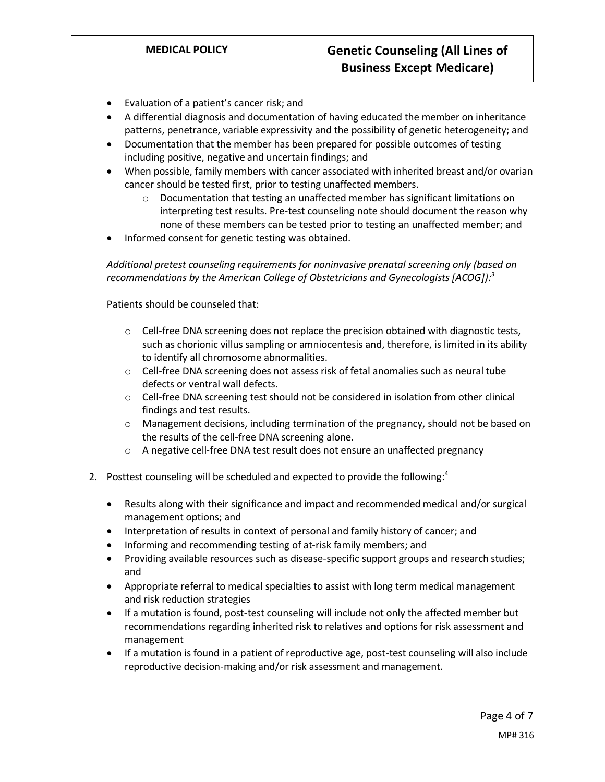- Evaluation of a patient's cancer risk; and
- A differential diagnosis and documentation of having educated the member on inheritance patterns, penetrance, variable expressivity and the possibility of genetic heterogeneity; and
- Documentation that the member has been prepared for possible outcomes of testing including positive, negative and uncertain findings; and
- When possible, family members with cancer associated with inherited breast and/or ovarian cancer should be tested first, prior to testing unaffected members.
	- o Documentation that testing an unaffected member has significant limitations on interpreting test results. Pre-test counseling note should document the reason why none of these members can be tested prior to testing an unaffected member; and
- Informed consent for genetic testing was obtained.

*Additional pretest counseling requirements for noninvasive prenatal screening only (based on recommendations by the American College of Obstetricians and Gynecologists [ACOG]): 3*

Patients should be counseled that:

- $\circ$  Cell-free DNA screening does not replace the precision obtained with diagnostic tests, such as chorionic villus sampling or amniocentesis and, therefore, is limited in its ability to identify all chromosome abnormalities.
- $\circ$  Cell-free DNA screening does not assess risk of fetal anomalies such as neural tube defects or ventral wall defects.
- $\circ$  Cell-free DNA screening test should not be considered in isolation from other clinical findings and test results.
- o Management decisions, including termination of the pregnancy, should not be based on the results of the cell-free DNA screening alone.
- o A negative cell-free DNA test result does not ensure an unaffected pregnancy
- 2. Posttest counseling will be scheduled and expected to provide the following: $4$ 
	- Results along with their significance and impact and recommended medical and/or surgical management options; and
	- Interpretation of results in context of personal and family history of cancer; and
	- Informing and recommending testing of at-risk family members; and
	- Providing available resources such as disease-specific support groups and research studies; and
	- Appropriate referral to medical specialties to assist with long term medical management and risk reduction strategies
	- If a mutation is found, post-test counseling will include not only the affected member but recommendations regarding inherited risk to relatives and options for risk assessment and management
	- If a mutation is found in a patient of reproductive age, post-test counseling will also include reproductive decision-making and/or risk assessment and management.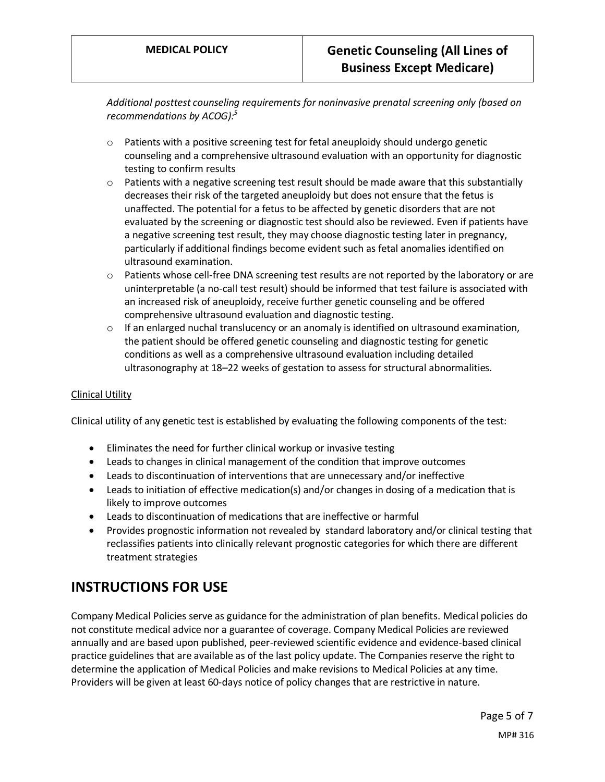*Additional posttest counseling requirements for noninvasive prenatal screening only (based on recommendations by ACOG): 5*

- $\circ$  Patients with a positive screening test for fetal aneuploidy should undergo genetic counseling and a comprehensive ultrasound evaluation with an opportunity for diagnostic testing to confirm results
- $\circ$  Patients with a negative screening test result should be made aware that this substantially decreases their risk of the targeted aneuploidy but does not ensure that the fetus is unaffected. The potential for a fetus to be affected by genetic disorders that are not evaluated by the screening or diagnostic test should also be reviewed. Even if patients have a negative screening test result, they may choose diagnostic testing later in pregnancy, particularly if additional findings become evident such as fetal anomalies identified on ultrasound examination.
- $\circ$  Patients whose cell-free DNA screening test results are not reported by the laboratory or are uninterpretable (a no-call test result) should be informed that test failure is associated with an increased risk of aneuploidy, receive further genetic counseling and be offered comprehensive ultrasound evaluation and diagnostic testing.
- $\circ$  If an enlarged nuchal translucency or an anomaly is identified on ultrasound examination, the patient should be offered genetic counseling and diagnostic testing for genetic conditions as well as a comprehensive ultrasound evaluation including detailed ultrasonography at 18–22 weeks of gestation to assess for structural abnormalities.

#### Clinical Utility

Clinical utility of any genetic test is established by evaluating the following components of the test:

- Eliminates the need for further clinical workup or invasive testing
- Leads to changes in clinical management of the condition that improve outcomes
- Leads to discontinuation of interventions that are unnecessary and/or ineffective
- Leads to initiation of effective medication(s) and/or changes in dosing of a medication that is likely to improve outcomes
- Leads to discontinuation of medications that are ineffective or harmful
- Provides prognostic information not revealed by standard laboratory and/or clinical testing that reclassifies patients into clinically relevant prognostic categories for which there are different treatment strategies

### **INSTRUCTIONS FOR USE**

Company Medical Policies serve as guidance for the administration of plan benefits. Medical policies do not constitute medical advice nor a guarantee of coverage. Company Medical Policies are reviewed annually and are based upon published, peer-reviewed scientific evidence and evidence-based clinical practice guidelines that are available as of the last policy update. The Companies reserve the right to determine the application of Medical Policies and make revisions to Medical Policies at any time. Providers will be given at least 60-days notice of policy changes that are restrictive in nature.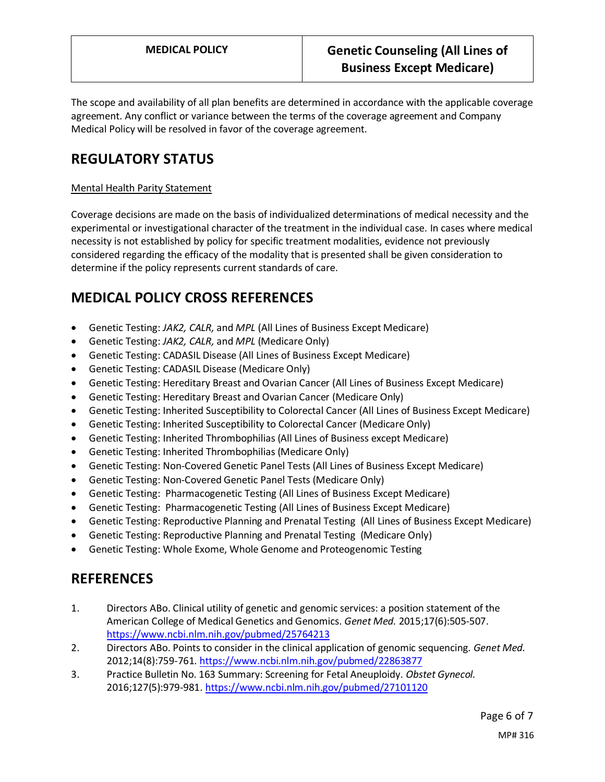The scope and availability of all plan benefits are determined in accordance with the applicable coverage agreement. Any conflict or variance between the terms of the coverage agreement and Company Medical Policy will be resolved in favor of the coverage agreement.

# **REGULATORY STATUS**

#### Mental Health Parity Statement

Coverage decisions are made on the basis of individualized determinations of medical necessity and the experimental or investigational character of the treatment in the individual case. In cases where medical necessity is not established by policy for specific treatment modalities, evidence not previously considered regarding the efficacy of the modality that is presented shall be given consideration to determine if the policy represents current standards of care.

# **MEDICAL POLICY CROSS REFERENCES**

- Genetic Testing: *JAK2, CALR,* and *MPL* (All Lines of Business Except Medicare)
- Genetic Testing: *JAK2, CALR,* and *MPL* (Medicare Only)
- Genetic Testing: CADASIL Disease (All Lines of Business Except Medicare)
- Genetic Testing: CADASIL Disease (Medicare Only)
- Genetic Testing: Hereditary Breast and Ovarian Cancer (All Lines of Business Except Medicare)
- Genetic Testing: Hereditary Breast and Ovarian Cancer (Medicare Only)
- Genetic Testing: Inherited Susceptibility to Colorectal Cancer (All Lines of Business Except Medicare)
- Genetic Testing: Inherited Susceptibility to Colorectal Cancer (Medicare Only)
- Genetic Testing: Inherited Thrombophilias (All Lines of Business except Medicare)
- Genetic Testing: Inherited Thrombophilias (Medicare Only)
- Genetic Testing: Non-Covered Genetic Panel Tests (All Lines of Business Except Medicare)
- Genetic Testing: Non-Covered Genetic Panel Tests (Medicare Only)
- Genetic Testing: Pharmacogenetic Testing (All Lines of Business Except Medicare)
- Genetic Testing: Pharmacogenetic Testing (All Lines of Business Except Medicare)
- Genetic Testing: Reproductive Planning and Prenatal Testing (All Lines of Business Except Medicare)
- Genetic Testing: Reproductive Planning and Prenatal Testing (Medicare Only)
- Genetic Testing: Whole Exome, Whole Genome and Proteogenomic Testing

### **REFERENCES**

- 1. Directors ABo. Clinical utility of genetic and genomic services: a position statement of the American College of Medical Genetics and Genomics. *Genet Med.* 2015;17(6):505-507. <https://www.ncbi.nlm.nih.gov/pubmed/25764213>
- 2. Directors ABo. Points to consider in the clinical application of genomic sequencing. *Genet Med.*  2012;14(8):759-761[. https://www.ncbi.nlm.nih.gov/pubmed/22863877](https://www.ncbi.nlm.nih.gov/pubmed/22863877)
- 3. Practice Bulletin No. 163 Summary: Screening for Fetal Aneuploidy. *Obstet Gynecol.*  2016;127(5):979-981[. https://www.ncbi.nlm.nih.gov/pubmed/27101120](https://www.ncbi.nlm.nih.gov/pubmed/27101120)